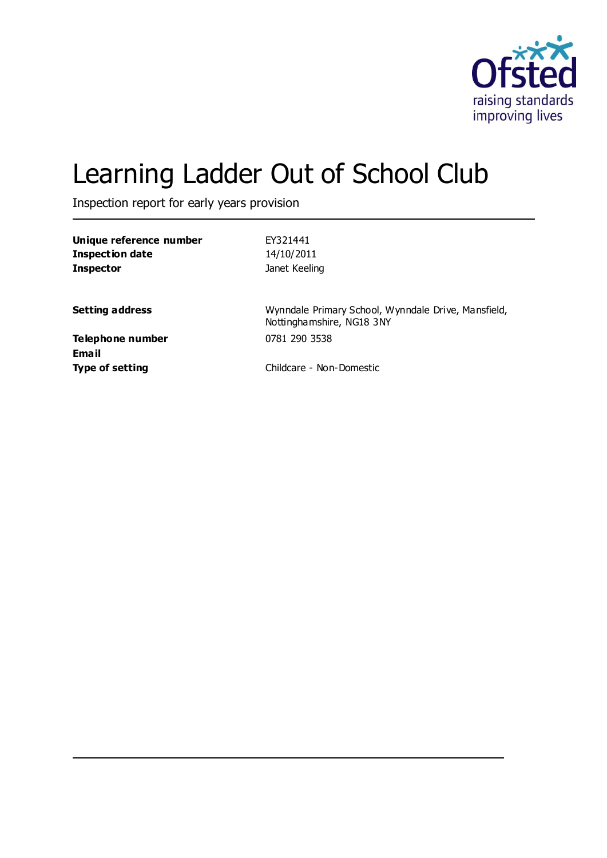

# Learning Ladder Out of School Club

Inspection report for early years provision

| Unique reference number<br>Inspection date | FY321441<br>14/10/2011                                                           |
|--------------------------------------------|----------------------------------------------------------------------------------|
| <b>Inspector</b>                           | Janet Keeling                                                                    |
| <b>Setting address</b>                     | Wynndale Primary School, Wynndale Drive, Mansfield,<br>Nottinghamshire, NG18 3NY |
| Telephone number                           | 0781 290 3538                                                                    |
| Email<br><b>Type of setting</b>            | Childcare - Non-Domestic                                                         |
|                                            |                                                                                  |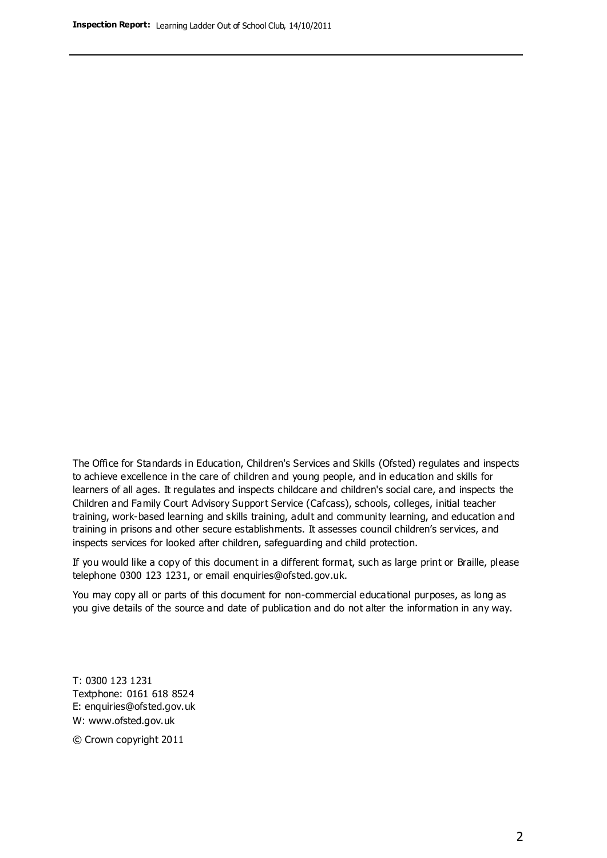The Office for Standards in Education, Children's Services and Skills (Ofsted) regulates and inspects to achieve excellence in the care of children and young people, and in education and skills for learners of all ages. It regulates and inspects childcare and children's social care, and inspects the Children and Family Court Advisory Support Service (Cafcass), schools, colleges, initial teacher training, work-based learning and skills training, adult and community learning, and education and training in prisons and other secure establishments. It assesses council children's services, and inspects services for looked after children, safeguarding and child protection.

If you would like a copy of this document in a different format, such as large print or Braille, please telephone 0300 123 1231, or email enquiries@ofsted.gov.uk.

You may copy all or parts of this document for non-commercial educational purposes, as long as you give details of the source and date of publication and do not alter the information in any way.

T: 0300 123 1231 Textphone: 0161 618 8524 E: enquiries@ofsted.gov.uk W: [www.ofsted.gov.uk](http://www.ofsted.gov.uk/)

© Crown copyright 2011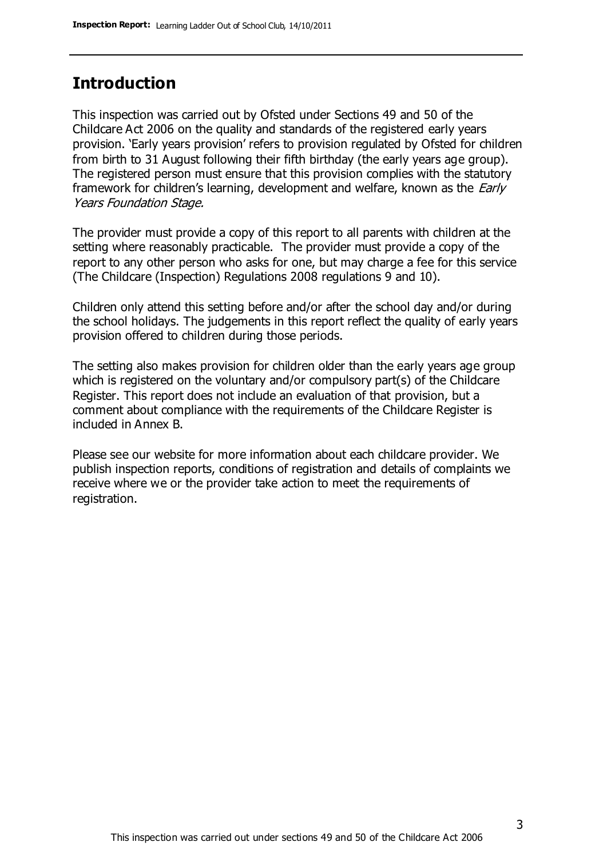### **Introduction**

This inspection was carried out by Ofsted under Sections 49 and 50 of the Childcare Act 2006 on the quality and standards of the registered early years provision. 'Early years provision' refers to provision regulated by Ofsted for children from birth to 31 August following their fifth birthday (the early years age group). The registered person must ensure that this provision complies with the statutory framework for children's learning, development and welfare, known as the *Early* Years Foundation Stage.

The provider must provide a copy of this report to all parents with children at the setting where reasonably practicable. The provider must provide a copy of the report to any other person who asks for one, but may charge a fee for this service (The Childcare (Inspection) Regulations 2008 regulations 9 and 10).

Children only attend this setting before and/or after the school day and/or during the school holidays. The judgements in this report reflect the quality of early years provision offered to children during those periods.

The setting also makes provision for children older than the early years age group which is registered on the voluntary and/or compulsory part(s) of the Childcare Register. This report does not include an evaluation of that provision, but a comment about compliance with the requirements of the Childcare Register is included in Annex B.

Please see our website for more information about each childcare provider. We publish inspection reports, conditions of registration and details of complaints we receive where we or the provider take action to meet the requirements of registration.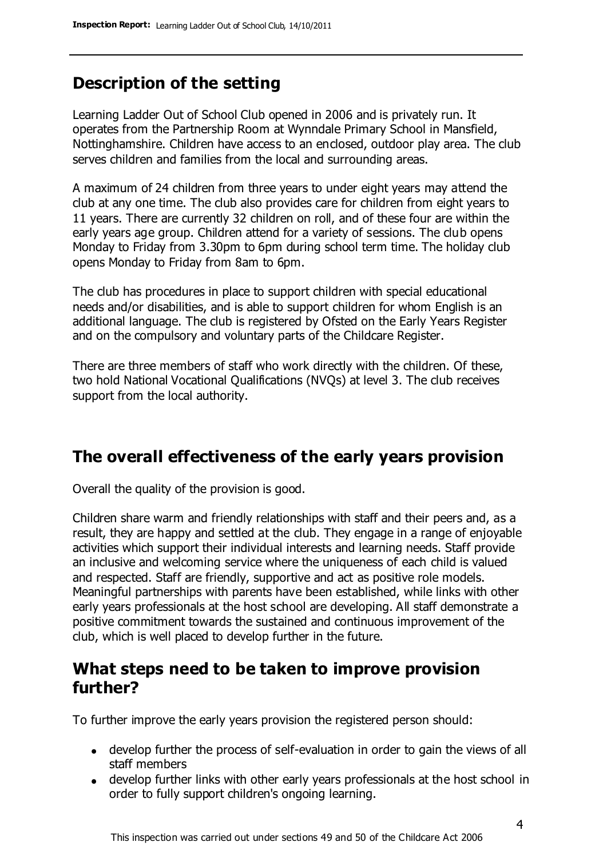### **Description of the setting**

Learning Ladder Out of School Club opened in 2006 and is privately run. It operates from the Partnership Room at Wynndale Primary School in Mansfield, Nottinghamshire. Children have access to an enclosed, outdoor play area. The club serves children and families from the local and surrounding areas.

A maximum of 24 children from three years to under eight years may attend the club at any one time. The club also provides care for children from eight years to 11 years. There are currently 32 children on roll, and of these four are within the early years age group. Children attend for a variety of sessions. The club opens Monday to Friday from 3.30pm to 6pm during school term time. The holiday club opens Monday to Friday from 8am to 6pm.

The club has procedures in place to support children with special educational needs and/or disabilities, and is able to support children for whom English is an additional language. The club is registered by Ofsted on the Early Years Register and on the compulsory and voluntary parts of the Childcare Register.

There are three members of staff who work directly with the children. Of these, two hold National Vocational Qualifications (NVQs) at level 3. The club receives support from the local authority.

### **The overall effectiveness of the early years provision**

Overall the quality of the provision is good.

Children share warm and friendly relationships with staff and their peers and, as a result, they are happy and settled at the club. They engage in a range of enjoyable activities which support their individual interests and learning needs. Staff provide an inclusive and welcoming service where the uniqueness of each child is valued and respected. Staff are friendly, supportive and act as positive role models. Meaningful partnerships with parents have been established, while links with other early years professionals at the host school are developing. All staff demonstrate a positive commitment towards the sustained and continuous improvement of the club, which is well placed to develop further in the future.

### **What steps need to be taken to improve provision further?**

To further improve the early years provision the registered person should:

- develop further the process of self-evaluation in order to gain the views of all staff members
- develop further links with other early years professionals at the host school in order to fully support children's ongoing learning.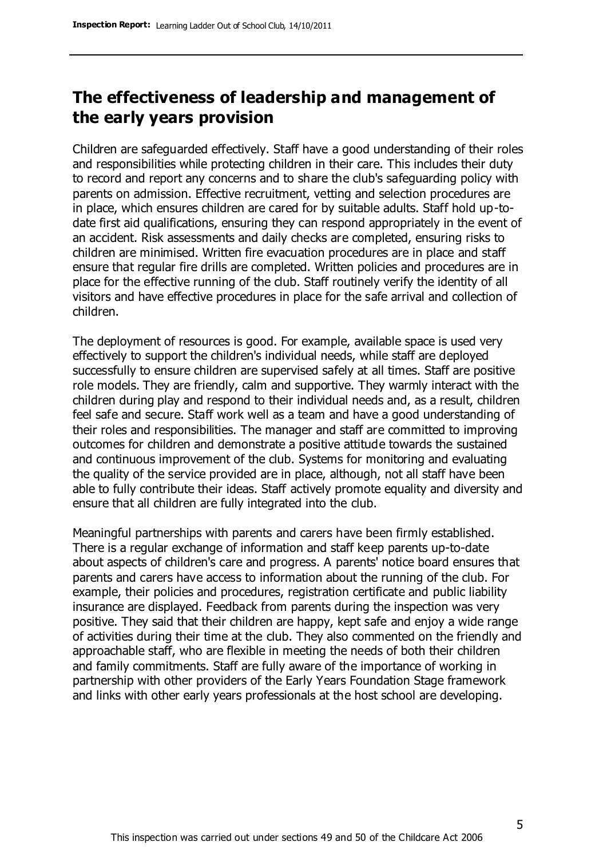### **The effectiveness of leadership and management of the early years provision**

Children are safeguarded effectively. Staff have a good understanding of their roles and responsibilities while protecting children in their care. This includes their duty to record and report any concerns and to share the club's safeguarding policy with parents on admission. Effective recruitment, vetting and selection procedures are in place, which ensures children are cared for by suitable adults. Staff hold up-todate first aid qualifications, ensuring they can respond appropriately in the event of an accident. Risk assessments and daily checks are completed, ensuring risks to children are minimised. Written fire evacuation procedures are in place and staff ensure that regular fire drills are completed. Written policies and procedures are in place for the effective running of the club. Staff routinely verify the identity of all visitors and have effective procedures in place for the safe arrival and collection of children.

The deployment of resources is good. For example, available space is used very effectively to support the children's individual needs, while staff are deployed successfully to ensure children are supervised safely at all times. Staff are positive role models. They are friendly, calm and supportive. They warmly interact with the children during play and respond to their individual needs and, as a result, children feel safe and secure. Staff work well as a team and have a good understanding of their roles and responsibilities. The manager and staff are committed to improving outcomes for children and demonstrate a positive attitude towards the sustained and continuous improvement of the club. Systems for monitoring and evaluating the quality of the service provided are in place, although, not all staff have been able to fully contribute their ideas. Staff actively promote equality and diversity and ensure that all children are fully integrated into the club.

Meaningful partnerships with parents and carers have been firmly established. There is a regular exchange of information and staff keep parents up-to-date about aspects of children's care and progress. A parents' notice board ensures that parents and carers have access to information about the running of the club. For example, their policies and procedures, registration certificate and public liability insurance are displayed. Feedback from parents during the inspection was very positive. They said that their children are happy, kept safe and enjoy a wide range of activities during their time at the club. They also commented on the friendly and approachable staff, who are flexible in meeting the needs of both their children and family commitments. Staff are fully aware of the importance of working in partnership with other providers of the Early Years Foundation Stage framework and links with other early years professionals at the host school are developing.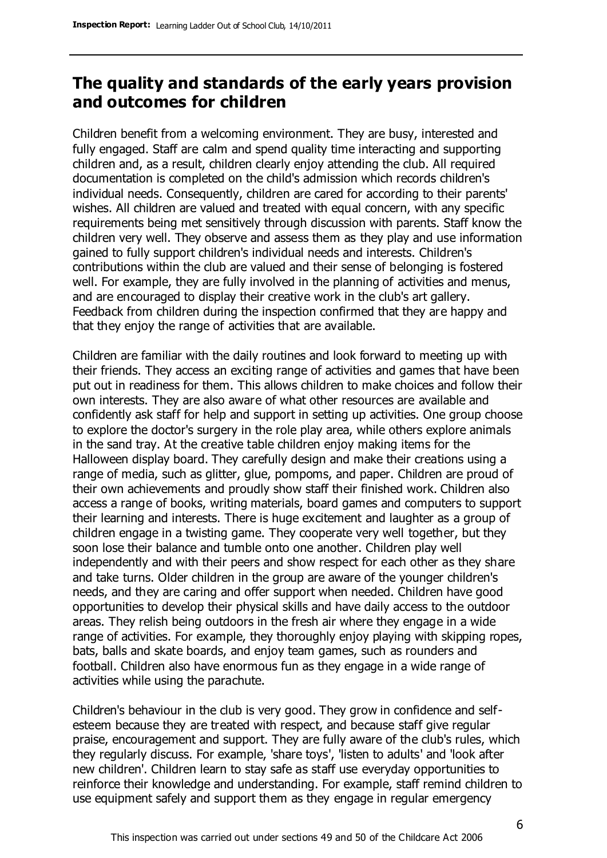### **The quality and standards of the early years provision and outcomes for children**

Children benefit from a welcoming environment. They are busy, interested and fully engaged. Staff are calm and spend quality time interacting and supporting children and, as a result, children clearly enjoy attending the club. All required documentation is completed on the child's admission which records children's individual needs. Consequently, children are cared for according to their parents' wishes. All children are valued and treated with equal concern, with any specific requirements being met sensitively through discussion with parents. Staff know the children very well. They observe and assess them as they play and use information gained to fully support children's individual needs and interests. Children's contributions within the club are valued and their sense of belonging is fostered well. For example, they are fully involved in the planning of activities and menus, and are encouraged to display their creative work in the club's art gallery. Feedback from children during the inspection confirmed that they are happy and that they enjoy the range of activities that are available.

Children are familiar with the daily routines and look forward to meeting up with their friends. They access an exciting range of activities and games that have been put out in readiness for them. This allows children to make choices and follow their own interests. They are also aware of what other resources are available and confidently ask staff for help and support in setting up activities. One group choose to explore the doctor's surgery in the role play area, while others explore animals in the sand tray. At the creative table children enjoy making items for the Halloween display board. They carefully design and make their creations using a range of media, such as glitter, glue, pompoms, and paper. Children are proud of their own achievements and proudly show staff their finished work. Children also access a range of books, writing materials, board games and computers to support their learning and interests. There is huge excitement and laughter as a group of children engage in a twisting game. They cooperate very well together, but they soon lose their balance and tumble onto one another. Children play well independently and with their peers and show respect for each other as they share and take turns. Older children in the group are aware of the younger children's needs, and they are caring and offer support when needed. Children have good opportunities to develop their physical skills and have daily access to the outdoor areas. They relish being outdoors in the fresh air where they engage in a wide range of activities. For example, they thoroughly enjoy playing with skipping ropes, bats, balls and skate boards, and enjoy team games, such as rounders and football. Children also have enormous fun as they engage in a wide range of activities while using the parachute.

Children's behaviour in the club is very good. They grow in confidence and selfesteem because they are treated with respect, and because staff give regular praise, encouragement and support. They are fully aware of the club's rules, which they regularly discuss. For example, 'share toys', 'listen to adults' and 'look after new children'. Children learn to stay safe as staff use everyday opportunities to reinforce their knowledge and understanding. For example, staff remind children to use equipment safely and support them as they engage in regular emergency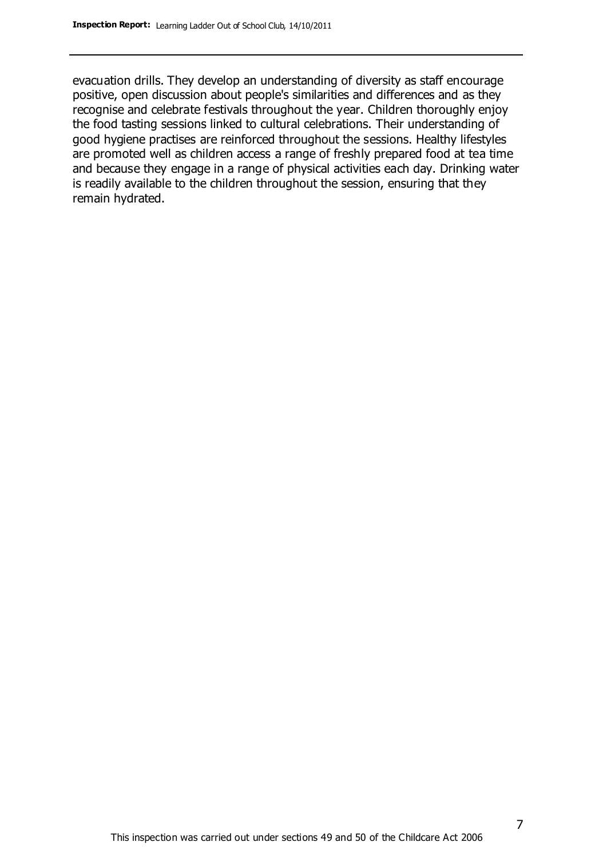evacuation drills. They develop an understanding of diversity as staff encourage positive, open discussion about people's similarities and differences and as they recognise and celebrate festivals throughout the year. Children thoroughly enjoy the food tasting sessions linked to cultural celebrations. Their understanding of good hygiene practises are reinforced throughout the sessions. Healthy lifestyles are promoted well as children access a range of freshly prepared food at tea time and because they engage in a range of physical activities each day. Drinking water is readily available to the children throughout the session, ensuring that they remain hydrated.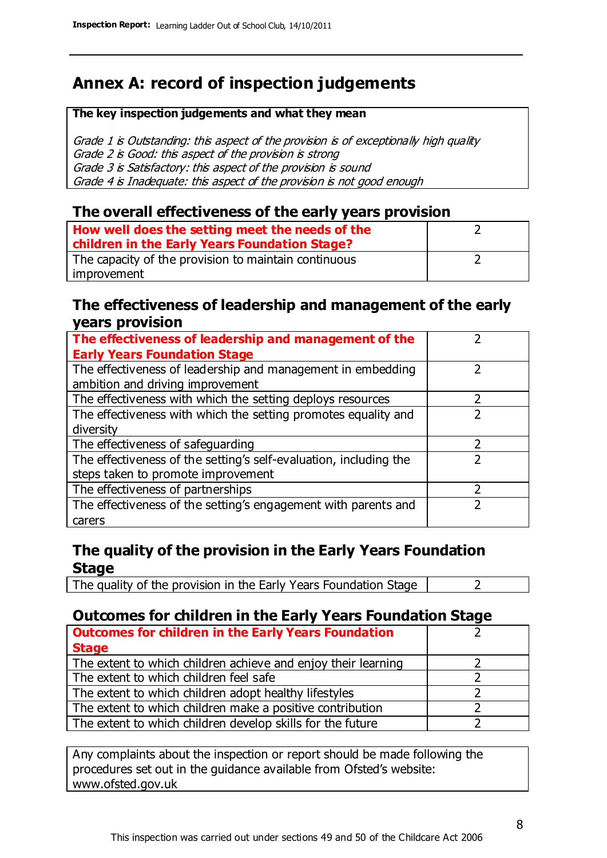### **Annex A: record of inspection judgements**

#### **The key inspection judgements and what they mean**

Grade 1 is Outstanding: this aspect of the provision is of exceptionally high quality Grade 2 is Good: this aspect of the provision is strong Grade 3 is Satisfactory: this aspect of the provision is sound Grade 4 is Inadequate: this aspect of the provision is not good enough

#### **The overall effectiveness of the early years provision**

| How well does the setting meet the needs of the      |  |
|------------------------------------------------------|--|
| children in the Early Years Foundation Stage?        |  |
| The capacity of the provision to maintain continuous |  |
| improvement                                          |  |

#### **The effectiveness of leadership and management of the early years provision**

| The effectiveness of leadership and management of the             |  |
|-------------------------------------------------------------------|--|
| <b>Early Years Foundation Stage</b>                               |  |
| The effectiveness of leadership and management in embedding       |  |
| ambition and driving improvement                                  |  |
| The effectiveness with which the setting deploys resources        |  |
| The effectiveness with which the setting promotes equality and    |  |
| diversity                                                         |  |
| The effectiveness of safeguarding                                 |  |
| The effectiveness of the setting's self-evaluation, including the |  |
| steps taken to promote improvement                                |  |
| The effectiveness of partnerships                                 |  |
| The effectiveness of the setting's engagement with parents and    |  |
| carers                                                            |  |

### **The quality of the provision in the Early Years Foundation Stage**

The quality of the provision in the Early Years Foundation Stage  $\vert$  2

### **Outcomes for children in the Early Years Foundation Stage**

| <b>Outcomes for children in the Early Years Foundation</b>    |  |
|---------------------------------------------------------------|--|
| <b>Stage</b>                                                  |  |
| The extent to which children achieve and enjoy their learning |  |
| The extent to which children feel safe                        |  |
| The extent to which children adopt healthy lifestyles         |  |
| The extent to which children make a positive contribution     |  |
| The extent to which children develop skills for the future    |  |

Any complaints about the inspection or report should be made following the procedures set out in the guidance available from Ofsted's website: www.ofsted.gov.uk